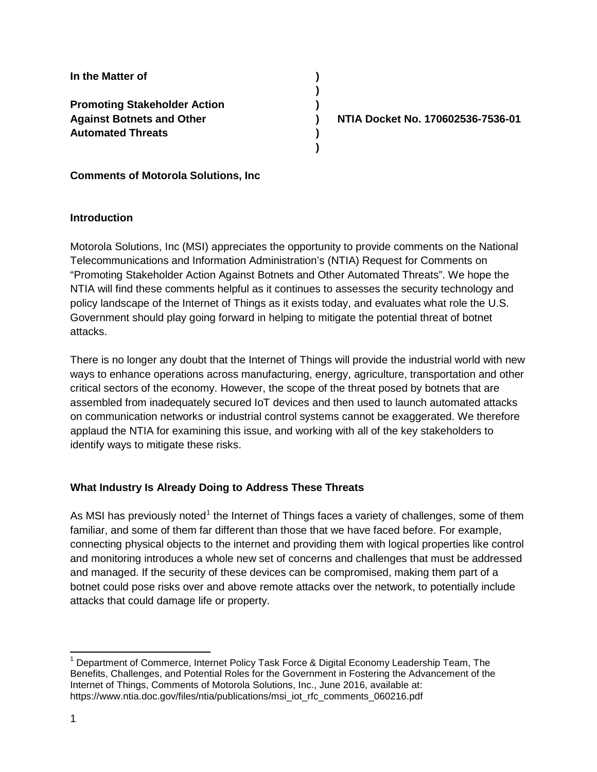**In the Matter of ) Promoting Stakeholder Action ) Against Botnets and Other ) NTIA Docket No. 170602536-7536-01 Automated Threats )**

**Comments of Motorola Solutions, Inc**

## **Introduction**

Motorola Solutions, Inc (MSI) appreciates the opportunity to provide comments on the National Telecommunications and Information Administration's (NTIA) Request for Comments on "Promoting Stakeholder Action Against Botnets and Other Automated Threats". We hope the NTIA will find these comments helpful as it continues to assesses the security technology and policy landscape of the Internet of Things as it exists today, and evaluates what role the U.S. Government should play going forward in helping to mitigate the potential threat of botnet attacks.

**)**

**)**

There is no longer any doubt that the Internet of Things will provide the industrial world with new ways to enhance operations across manufacturing, energy, agriculture, transportation and other critical sectors of the economy. However, the scope of the threat posed by botnets that are assembled from inadequately secured IoT devices and then used to launch automated attacks on communication networks or industrial control systems cannot be exaggerated. We therefore applaud the NTIA for examining this issue, and working with all of the key stakeholders to identify ways to mitigate these risks.

# **What Industry Is Already Doing to Address These Threats**

As MSI has previously noted<sup>[1](#page-0-0)</sup> the Internet of Things faces a variety of challenges, some of them familiar, and some of them far different than those that we have faced before. For example, connecting physical objects to the internet and providing them with logical properties like control and monitoring introduces a whole new set of concerns and challenges that must be addressed and managed. If the security of these devices can be compromised, making them part of a botnet could pose risks over and above remote attacks over the network, to potentially include attacks that could damage life or property.

<span id="page-0-0"></span><sup>&</sup>lt;sup>1</sup> Department of Commerce, Internet Policy Task Force & Digital Economy Leadership Team, The Benefits, Challenges, and Potential Roles for the Government in Fostering the Advancement of the Internet of Things, Comments of Motorola Solutions, Inc., June 2016, available at: https://www.ntia.doc.gov/files/ntia/publications/msi\_iot\_rfc\_comments\_060216.pdf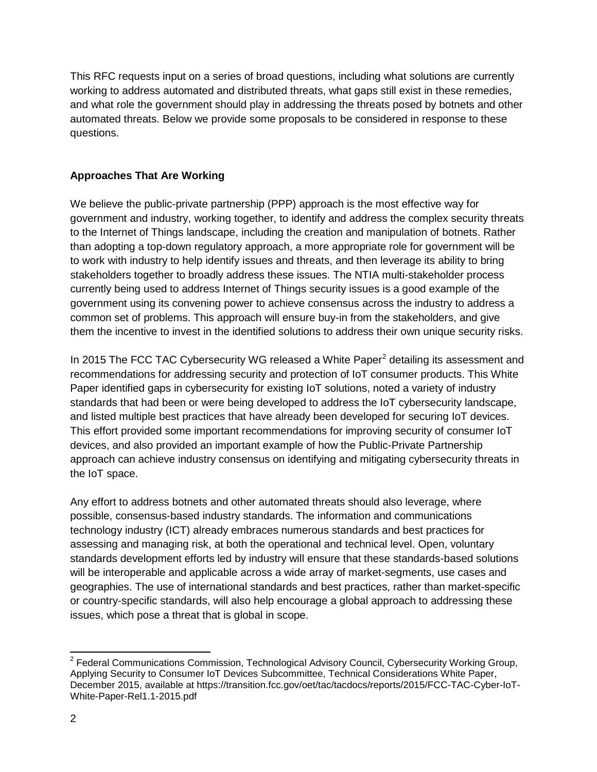This RFC requests input on a series of broad questions, including what solutions are currently working to address automated and distributed threats, what gaps still exist in these remedies, and what role the government should play in addressing the threats posed by botnets and other automated threats. Below we provide some proposals to be considered in response to these questions.

# **Approaches That Are Working**

We believe the public-private partnership (PPP) approach is the most effective way for government and industry, working together, to identify and address the complex security threats to the Internet of Things landscape, including the creation and manipulation of botnets. Rather than adopting a top-down regulatory approach, a more appropriate role for government will be to work with industry to help identify issues and threats, and then leverage its ability to bring stakeholders together to broadly address these issues. The NTIA multi-stakeholder process currently being used to address Internet of Things security issues is a good example of the government using its convening power to achieve consensus across the industry to address a common set of problems. This approach will ensure buy-in from the stakeholders, and give them the incentive to invest in the identified solutions to address their own unique security risks.

In [2](#page-1-0)015 The FCC TAC Cybersecurity WG released a White Paper<sup>2</sup> detailing its assessment and recommendations for addressing security and protection of IoT consumer products. This White Paper identified gaps in cybersecurity for existing IoT solutions, noted a variety of industry standards that had been or were being developed to address the IoT cybersecurity landscape, and listed multiple best practices that have already been developed for securing IoT devices. This effort provided some important recommendations for improving security of consumer IoT devices, and also provided an important example of how the Public-Private Partnership approach can achieve industry consensus on identifying and mitigating cybersecurity threats in the IoT space.

Any effort to address botnets and other automated threats should also leverage, where possible, consensus-based industry standards. The information and communications technology industry (ICT) already embraces numerous standards and best practices for assessing and managing risk, at both the operational and technical level. Open, voluntary standards development efforts led by industry will ensure that these standards-based solutions will be interoperable and applicable across a wide array of market-segments, use cases and geographies. The use of international standards and best practices, rather than market-specific or country-specific standards, will also help encourage a global approach to addressing these issues, which pose a threat that is global in scope.

<span id="page-1-0"></span><sup>&</sup>lt;sup>2</sup> Federal Communications Commission, Technological Advisory Council, Cybersecurity Working Group, Applying Security to Consumer IoT Devices Subcommittee, Technical Considerations White Paper, December 2015, available at https://transition.fcc.gov/oet/tac/tacdocs/reports/2015/FCC-TAC-Cyber-IoT-White-Paper-Rel1.1-2015.pdf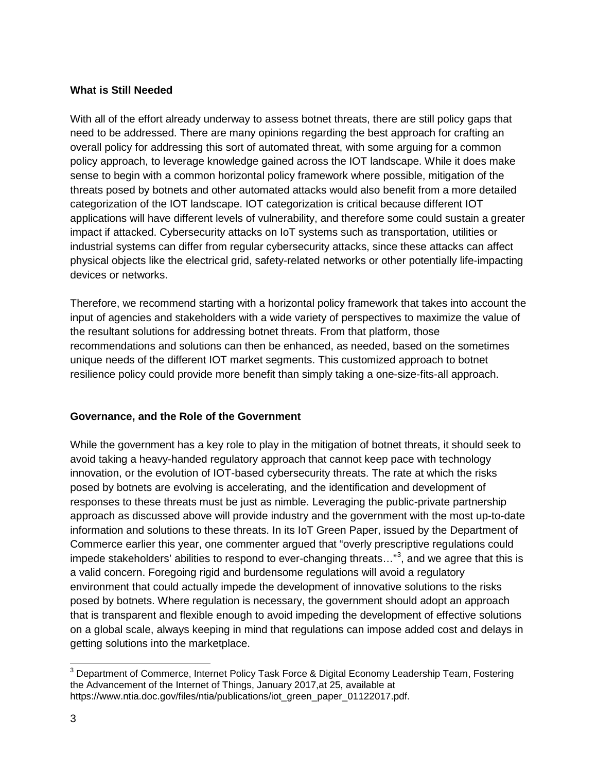## **What is Still Needed**

With all of the effort already underway to assess botnet threats, there are still policy gaps that need to be addressed. There are many opinions regarding the best approach for crafting an overall policy for addressing this sort of automated threat, with some arguing for a common policy approach, to leverage knowledge gained across the IOT landscape. While it does make sense to begin with a common horizontal policy framework where possible, mitigation of the threats posed by botnets and other automated attacks would also benefit from a more detailed categorization of the IOT landscape. IOT categorization is critical because different IOT applications will have different levels of vulnerability, and therefore some could sustain a greater impact if attacked. Cybersecurity attacks on IoT systems such as transportation, utilities or industrial systems can differ from regular cybersecurity attacks, since these attacks can affect physical objects like the electrical grid, safety-related networks or other potentially life-impacting devices or networks.

Therefore, we recommend starting with a horizontal policy framework that takes into account the input of agencies and stakeholders with a wide variety of perspectives to maximize the value of the resultant solutions for addressing botnet threats. From that platform, those recommendations and solutions can then be enhanced, as needed, based on the sometimes unique needs of the different IOT market segments. This customized approach to botnet resilience policy could provide more benefit than simply taking a one-size-fits-all approach.

# **Governance, and the Role of the Government**

While the government has a key role to play in the mitigation of botnet threats, it should seek to avoid taking a heavy-handed regulatory approach that cannot keep pace with technology innovation, or the evolution of IOT-based cybersecurity threats. The rate at which the risks posed by botnets are evolving is accelerating, and the identification and development of responses to these threats must be just as nimble. Leveraging the public-private partnership approach as discussed above will provide industry and the government with the most up-to-date information and solutions to these threats. In its IoT Green Paper, issued by the Department of Commerce earlier this year, one commenter argued that "overly prescriptive regulations could impede stakeholders' abilities to respond to ever-changing threats..."<sup>[3](#page-2-0)</sup>, and we agree that this is a valid concern. Foregoing rigid and burdensome regulations will avoid a regulatory environment that could actually impede the development of innovative solutions to the risks posed by botnets. Where regulation is necessary, the government should adopt an approach that is transparent and flexible enough to avoid impeding the development of effective solutions on a global scale, always keeping in mind that regulations can impose added cost and delays in getting solutions into the marketplace.

<span id="page-2-0"></span><sup>&</sup>lt;sup>3</sup> Department of Commerce, Internet Policy Task Force & Digital Economy Leadership Team, Fostering the Advancement of the Internet of Things, January 2017,at 25, available at https://www.ntia.doc.gov/files/ntia/publications/iot\_green\_paper\_01122017.pdf.